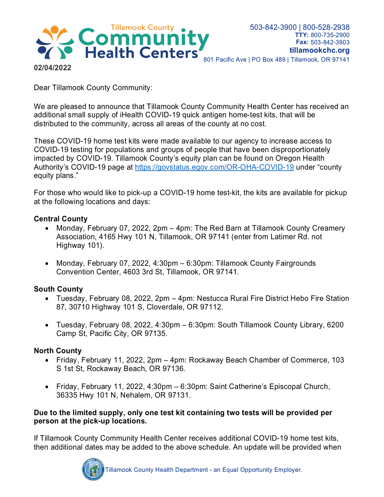

Dear Tillamook County Community:

We are pleased to announce that Tillamook County Community Health Center has received an additional small supply of iHealth COVID-19 quick antigen home-test kits, that will be distributed to the community, across all areas of the county at no cost.

These COVID-19 home test kits were made available to our agency to increase access to COVID-19 testing for populations and groups of people that have been disproportionately impacted by COVID-19. Tillamook County's equity plan can be found on Oregon Health Authority's COVID-19 page at<https://govstatus.egov.com/OR-OHA-COVID-19> under "county equity plans."

For those who would like to pick-up a COVID-19 home test-kit, the kits are available for pickup at the following locations and days:

# **Central County**

- Monday, February 07, 2022, 2pm 4pm: The Red Barn at Tillamook County Creamery Association, 4165 Hwy 101 N, Tillamook, OR 97141 (enter from Latimer Rd. not Highway 101).
- Monday, February 07, 2022, 4:30pm 6:30pm: Tillamook County Fairgrounds Convention Center, 4603 3rd St, Tillamook, OR 97141.

# **South County**

- Tuesday, February 08, 2022, 2pm 4pm: Nestucca Rural Fire District Hebo Fire Station 87, 30710 Highway 101 S, Cloverdale, OR 97112.
- Tuesday, February 08, 2022, 4:30pm 6:30pm: South Tillamook County Library, 6200 Camp St, Pacific City, OR 97135.

# **North County**

- Friday, February 11, 2022, 2pm 4pm: Rockaway Beach Chamber of Commerce, 103 S 1st St, Rockaway Beach, OR 97136.
- Friday, February 11, 2022, 4:30pm 6:30pm: Saint Catherine's Episcopal Church, 36335 Hwy 101 N, Nehalem, OR 97131.

## **Due to the limited supply, only one test kit containing two tests will be provided per person at the pick-up locations.**

If Tillamook County Community Health Center receives additional COVID-19 home test kits, then additional dates may be added to the above schedule. An update will be provided when